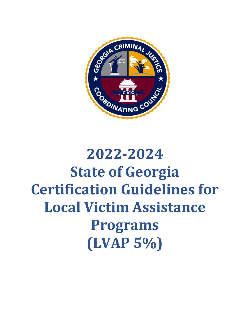

# **2022-2024 State of Georgia Certification Guidelines for Local Victim Assistance Programs (LVAP 5%)**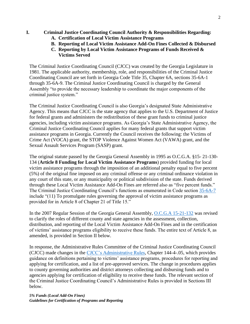- **I. Criminal Justice Coordinating Council Authority & Responsibilities Regarding:**
	- **A. Certification of Local Victim Assistance Programs**
	- **B. Reporting of Local Victim Assistance Add-On Fines Collected & Disbursed**
	- **C. Reporting by Local Victim Assistance Programs of Funds Received & Victims Served**

The Criminal Justice Coordinating Council (CJCC) was created by the Georgia Legislature in 1981. The applicable authority, membership, role, and responsibilities of the Criminal Justice Coordinating Council are set forth in Georgia Code Title 35, Chapter 6A, sections 35-6A-1 through 35-6A-9. The Criminal Justice Coordinating Council is charged by the General Assembly "to provide the necessary leadership to coordinate the major components of the criminal justice system."

The Criminal Justice Coordinating Council is also Georgia's designated State Administrative Agency. This means that CJCC is the state agency that applies to the U.S. Department of Justice for federal grants and administers the redistribution of these grant funds to criminal justice agencies, including victim assistance programs. As Georgia's State Administrative Agency, the Criminal Justice Coordinating Council applies for many federal grants that support victim assistance programs in Georgia. Currently the Council receives the following: the Victims of Crime Act (VOCA) grant, the STOP Violence Against Women Act (VAWA) grant, and the Sexual Assault Services Program (SASP) grant.

The original statute passed by the Georgia General Assembly in 1995 as O.C.G.A. §15- 21-130- 134 (**Article 8 Funding for Local Victim Assistance Programs**) provided funding for local victim assistance programs through the imposition of an additional penalty equal to five percent (5%) of the original fine imposed on any criminal offense or any criminal ordinance violation in any court of this state, or any municipality or political subdivision of the state. Funds derived through these Local Victim Assistance Add-On Fines are referred also as "five percent funds." The Criminal Justice Coordinating Council's functions as enumerated in Code section [35-6A-7](https://advance.lexis.com/documentpage/?pdmfid=1000516&crid=9dd87385-6e60-44aa-982f-57c6c4eda65b&pdistocdocslideraccess=true&config=00JAA1MDBlYzczZi1lYjFlLTQxMTgtYWE3OS02YTgyOGM2NWJlMDYKAFBvZENhdGFsb2feed0oM9qoQOMCSJFX5qkd&pddocfullpath=%2Fshared%2Fdocument%2Fstatutes-legislation%2Furn%3AcontentItem%3A5Y1X-MNG1-JBDT-B314-00008-00&pdcomponentid=234187&pdtocnodeidentifier=ABJAAIAAI&ecomp=9s-fkkk&prid=da9fb5a7-2e50-4f98-b0d3-660cf90dd469) include "(11) To promulgate rules governing the approval of victim assistance programs as provided for in Article 8 of Chapter 21 of Title 15."

In the 2007 Regular Session of the Georgia General Assembly, [O.C.G.A 15-21-132](https://advance.lexis.com/documentpage/?pdmfid=1000516&crid=85771a0e-dc44-4ca7-bae0-6e60d4e6259c&nodeid=AAPAAZAAIAAE&nodepath=%2FROOT%2FAAP%2FAAPAAZ%2FAAPAAZAAI%2FAAPAAZAAIAAE&level=4&haschildren=&populated=false&title=Section+15-21-132.+Assessment+and+collection+of+additional+sums%3B+reporting%3B+certification+of+victim+assistance+programs&config=00JAA1MDBlYzczZi1lYjFlLTQxMTgtYWE3OS02YTgyOGM2NWJlMDYKAFBvZENhdGFsb2feed0oM9qoQOMCSJFX5qkd&pddocfullpath=%2Fshared%2Fdocument%2Fstatutes-legislation%2Furn%3AcontentItem%3A5Y1X-MNG1-FCSB-S361-00008-00&ecomp=h3t7kkk&prid=7d2a3a46-a7d5-42d1-b722-8aca2ccc029e) was revised to clarify the roles of different county and state agencies in the assessment, collection, distribution, and reporting of the Local Victim Assistance Add-On Fines and in the certification of victims' assistance programs eligibility to receive these funds. The entire text of Article 8, as amended, is provided in Section II below.

In response, the Administrative Rules Committee of the Criminal Justice Coordinating Council (CJCC) made changes in the [CJCC's Administrative Rules,](https://cjcc.georgia.gov/organization/criminal-justice-coordinating-council/administrative-rules-bylaws) Chapter 144-4-.05, which provides guidance on definitions pertaining to victims' assistance programs, procedures for reporting and applying for certification, and a list of pre-approved services. The change in procedures applies to county governing authorities and district attorneys collecting and disbursing funds and to agencies applying for certification of eligibility to receive these funds. The relevant section of the Criminal Justice Coordinating Council's Administrative Rules is provided in Sections III below.

*5% Funds (Local Add-On Fines) Guidelines for Certification of Programs and Reporting*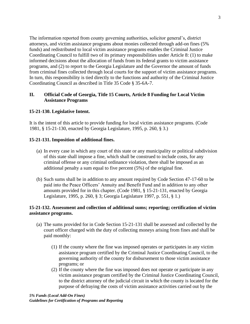The information reported from county governing authorities, solicitor general's, district attorneys, and victim assistance programs about monies collected through add-on fines (5% funds) and redistributed to local victim assistance programs enables the Criminal Justice Coordinating Council to fulfill two of its primary responsibilities under Article 8: (1) to make informed decisions about the allocation of funds from its federal grants to victim assistance programs, and (2) to report to the Georgia Legislature and the Governor the amount of funds from criminal fines collected through local courts for the support of victim assistance programs. In turn, this responsibility is tied directly to the functions and authority of the Criminal Justice Coordinating Council as described in Title 35 Code § 35-6A-7.

## **II. Official Code of Georgia, Title 15 Courts, Article 8 Funding for Local Victim Assistance Programs**

## **15-21-130. Legislative Intent.**

It is the intent of this article to provide funding for local victim assistance programs. (Code 1981, § 15-21-130, enacted by Georgia Legislature, 1995, p. 260, § 3.)

## **15-21-131. Imposition of additional fines.**

- (a) In every case in which any court of this state or any municipality or political subdivision of this state shall impose a fine, which shall be construed to include costs, for any criminal offense or any criminal ordinance violation, there shall be imposed as an additional penalty a sum equal to five percent (5%) of the original fine.
- (b) Such sums shall be in addition to any amount required by Code Section 47-17-60 to be paid into the Peace Officers' Annuity and Benefit Fund and in addition to any other amounts provided for in this chapter. (Code 1981, § 15-21-131, enacted by Georgia Legislature, 1995, p. 260, § 3; Georgia Legislature 1997, p. 551, § 1.)

## **15-21-132. Assessment and collection of additional sums; reporting; certification of victim assistance programs.**

- (a) The sums provided for in Code Section 15-21-131 shall be assessed and collected by the court officer charged with the duty of collecting moneys arising from fines and shall be paid monthly:
	- (1) If the county where the fine was imposed operates or participates in any victim assistance program certified by the Criminal Justice Coordinating Council, to the governing authority of the county for disbursement to those victim assistance programs; or
	- (2) If the county where the fine was imposed does not operate or participate in any victim assistance program certified by the Criminal Justice Coordinating Council, to the district attorney of the judicial circuit in which the county is located for the purpose of defraying the costs of victim assistance activities carried out by the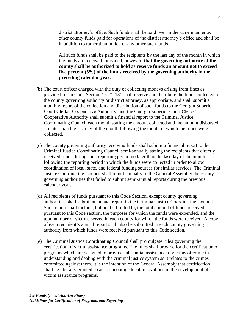district attorney's office. Such funds shall be paid over in the same manner as other county funds paid for operations of the district attorney's office and shall be in addition to rather than in lieu of any other such funds.

All such funds shall be paid to the recipients by the last day of the month in which the funds are received; provided, however, **that the governing authority of the county shall be authorized to hold as reserve funds an amount not to exceed five percent (5%) of the funds received by the governing authority in the preceding calendar year.** 

- (b) The court officer charged with the duty of collecting moneys arising from fines as provided for in Code Section 15-21-131 shall receive and distribute the funds collected to the county governing authority or district attorney, as appropriate, and shall submit a monthly report of the collection and distribution of such funds to the Georgia Superior Court Clerks' Cooperative Authority, and the Georgia Superior Court Clerks' Cooperative Authority shall submit a financial report to the Criminal Justice Coordinating Council each month stating the amount collected and the amount disbursed no later than the last day of the month following the month in which the funds were collected.
- (c) The county governing authority receiving funds shall submit a financial report to the Criminal Justice Coordinating Council semi-annually stating the recipients that directly received funds during such reporting period no later than the last day of the month following the reporting period in which the funds were collected in order to allow coordination of local, state, and federal funding sources for similar services. The Criminal Justice Coordinating Council shall report annually to the General Assembly the county governing authorities that failed to submit semi-annual reports during the previous calendar year.
- (d) All recipients of funds pursuant to this Code Section, except county governing authorities, shall submit an annual report to the Criminal Justice Coordinating Council. Such report shall include, but not be limited to, the total amount of funds received pursuant to this Code section, the purposes for which the funds were expended, and the total number of victims served in each county for which the funds were received. A copy of each recipient's annual report shall also be submitted to each county governing authority from which funds were received pursuant to this Code section.
- (e) The Criminal Justice Coordinating Council shall promulgate rules governing the certification of victim assistance programs. The rules shall provide for the certification of programs which are designed to provide substantial assistance to victims of crime in understanding and dealing with the criminal justice system as it relates to the crimes committed against them. It is the intention of the General Assembly that certification shall be liberally granted so as to encourage local innovations in the development of victim assistance programs.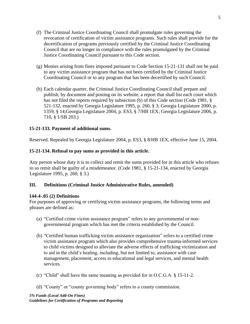- (f) The Criminal Justice Coordinating Council shall promulgate rules governing the revocation of certification of victim assistance programs. Such rules shall provide for the decertification of programs previously certified by the Criminal Justice Coordinating Council that are no longer in compliance with the rules promulgated by the Criminal Justice Coordinating Council pursuant to this Code section.
- (g) Monies arising from fines imposed pursuant to Code Section 15-21-131 shall not be paid to any victim assistance program that has not been certified by the Criminal Justice Coordinating Council or to any program that has been decertified by such Council.
- (h) Each calendar quarter, the Criminal Justice Coordinating Council shall prepare and publish, by document and posting on its website, a report that shall list each court which has not filed the reports required by subsection (b) of this Code section (Code 1981, § 521-132, enacted by Georgia Legislature 1995, p. 260, § 3; Georgia Legislature 2000, p. 1359, § 14;Georgia Legislature 2004, p. ES3, § 7/HB 1EX; Georgia Legislature 2006, p. 710, § 1/SB 203.)

## **15-21-133. Payment of additional sums.**

Reserved. Repealed by Georgia Legislature 2004, p. ES3, § 8/HB 1EX, effective June 15, 2004.

## **15-21-134. Refusal to pay sums as provided in this article.**

Any person whose duty it is to collect and remit the sums provided for in this article who refuses to so remit shall be guilty of a misdemeanor. (Code 1981, § 15-21-134, enacted by Georgia Legislature 1995, p. 260, § 3.)

## **III. Definitions (Criminal Justice Administrative Rules, amended)**

## **144-4-.05 (2) Definitions**

For purposes of approving or certifying victim assistance programs, the following terms and phrases are defined as:

- (a) "Certified crime victim assistance program" refers to any governmental or nongovernmental program which has met the criteria established by the Council.
- (b) "Certified human trafficking victim assistance organization" refers to a certified crime victim assistance program which also provides comprehensive trauma-informed services to child victims designed to alleviate the adverse effects of trafficking victimization and to aid in the child's healing, including, but not limited to, assistance with case management, placement, access to educational and legal services, and mental health services.
- (c) "Child" shall have the same meaning as provided for in O.C.G.A. § 15-11-2.
- (d) "County" or "county governing body" refers to a county commission.

*5% Funds (Local Add-On Fines) Guidelines for Certification of Programs and Reporting*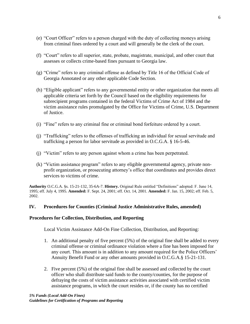- (e) "Court Officer" refers to a person charged with the duty of collecting moneys arising from criminal fines ordered by a court and will generally be the clerk of the court.
- (f) "Court" refers to all superior, state, probate, magistrate, municipal, and other court that assesses or collects crime-based fines pursuant to Georgia law.
- (g) "Crime" refers to any criminal offense as defined by Title 16 of the Official Code of Georgia Annotated or any other applicable Code Section.
- (h) "Eligible applicant" refers to any governmental entity or other organization that meets all applicable criteria set forth by the Council based on the eligibility requirements for subrecipient programs contained in the federal Victims of Crime Act of 1984 and the victim assistance rules promulgated by the Office for Victims of Crime, U.S. Department of Justice.
- (i) "Fine" refers to any criminal fine or criminal bond forfeiture ordered by a court.
- (j) "Trafficking" refers to the offenses of trafficking an individual for sexual servitude and trafficking a person for labor servitude as provided in O.C.G.A. § 16-5-46.
- (j) "Victim" refers to any person against whom a crime has been perpetrated.
- (k) "Victim assistance program" refers to any eligible governmental agency, private nonprofit organization, or prosecuting attorney's office that coordinates and provides direct services to victims of crime.

**Authority** O.C.G.A. §s. 15-21-132, 35-6A-7. **History.** Original Rule entitled "Definitions" adopted: F. June 14, 1995; eff. July 4, 1995. **Amended:** F. Sept. 24, 2001; eff. Oct. 14, 2001. **Amended:** F. Jan. 15, 2002; eff. Feb. 5, 2002.

#### **IV. Procedures for Counties (Criminal Justice Administrative Rules, amended)**

#### **Procedures for Collection, Distribution, and Reporting**

Local Victim Assistance Add-On Fine Collection, Distribution, and Reporting:

- 1. An additional penalty of five percent (5%) of the original fine shall be added to every criminal offense or criminal ordinance violation where a fine has been imposed for any court. This amount is in addition to any amount required for the Police Officers' Annuity Benefit Fund or any other amounts provided in O.C.G.A.§ 15-21-131.
- 2. Five percent (5%) of the original fine shall be assessed and collected by the court officer who shall distribute said funds to the county/counties, for the purpose of defraying the costs of victim assistance activities associated with certified victim assistance programs, in which the court resides or, if the county has no certified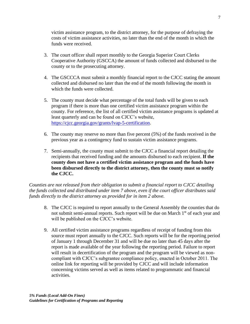victim assistance program, to the district attorney, for the purpose of defraying the costs of victim assistance activities, no later than the end of the month in which the funds were received.

- 3. The court officer shall report monthly to the Georgia Superior Court Clerks Cooperative Authority (GSCCA) the amount of funds collected and disbursed to the county or to the prosecuting attorney.
- 4. The GSCCCA must submit a monthly financial report to the CJCC stating the amount collected and disbursed no later than the end of the month following the month in which the funds were collected.
- 5. The county must decide what percentage of the total funds will be given to each program if there is more than one certified victim assistance program within the county. For reference, the list of all certified victim assistance programs is updated at least quarterly and can be found on CJCC's website, <https://cjcc.georgia.gov/grants/lvap-5-certification>[.](http://cjcc.georgia.gov/)
- 6. The county may reserve no more than five percent (5%) of the funds received in the previous year as a contingency fund to sustain victim assistance programs.
- 7. Semi-annually, the county must submit to the CJCC a financial report detailing the recipients that received funding and the amounts disbursed to each recipient. **If the county does not have a certified victim assistance program and the funds have been disbursed directly to the district attorney, then the county must so notify the CJCC.**

*Counties are not released from their obligation to submit a financial report to CJCC detailing the funds collected and distributed under item 7 above, even if the court officer distributes said funds directly to the district attorney as provided for in item 2 above.* 

- 8. The CJCC is required to report annually to the General Assembly the counties that do not submit semi-annual reports. Such report will be due on March 1<sup>st</sup> of each year and will be published on the CJCC's website.
- 9. All certified victim assistance programs regardless of receipt of funding from this source must report annually to the CJCC. Such reports will be for the reporting period of January 1 through December 31 and will be due no later than 45 days after the report is made available of the year following the reporting period. Failure to report will result in decertification of the program and the program will be viewed as noncompliant with CJCC's subgrantee compliance policy, enacted in October 2011. The online link for reporting will be provided by CJCC and will include information concerning victims served as well as items related to programmatic and financial activities.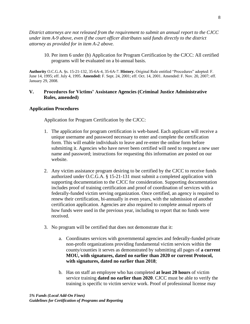*District attorneys are not released from the requirement to submit an annual report to the CJCC under item A-9 above, even if the court officer distributes said funds directly to the district attorney as provided for in item A-2 above.* 

10. Per item 6 under (b) Application for Program Certification by the CJCC: All certified programs will be evaluated on a bi-annual basis.

**Authority** O.C.G.A. §s. 15-21-132, 35-6A-4, 35-6A-7. **History.** Original Rule entitled "Procedures" adopted: F. June 14, 1995; eff. July 4, 1995. **Amended:** F. Sept. 24, 2001; eff. Oct. 14, 2001. Amended: F. Nov. 20, 2007; eff. January 29, 2008.

#### **V. Procedures for Victims' Assistance Agencies (Criminal Justice Administrative Rules, amended)**

#### **Application Procedures**

Application for Program Certification by the CJCC:

- 1. The application for program certification is web-based. Each applicant will receive a unique username and password necessary to enter and complete the certification form. This will enable individuals to leave and re-enter the online form before submitting it. Agencies who have never been certified will need to request a new user name and password; instructions for requesting this information are posted on our website.
- 2. Any victim assistance program desiring to be certified by the CJCC to receive funds authorized under O.C.G.A. § 15-21-131 must submit a completed application with supporting documentation to the CJCC for consideration. Supporting documentation includes proof of training certification and proof of coordination of services with a federally-funded victim serving organization. Once certified, an agency is required to renew their certification, bi-annually in even years, with the submission of another certification application. Agencies are also required to complete annual reports of how funds were used in the previous year, including to report that no funds were received.
- 3. No program will be certified that does not demonstrate that it:
	- a. Coordinates services with governmental agencies and federally-funded private non-profit organizations providing fundamental victim services within the county/counties it serves as demonstrated by submitting all pages of **a current MOU, with signatures, dated no earlier than 2020 or current Protocol, with signatures, dated no earlier than 2018**;
	- b. Has on staff an employee who has completed **at least 20 hours** of victim service training **dated no earlier than 2020**. CJCC must be able to verify the training is specific to victim service work. Proof of professional license may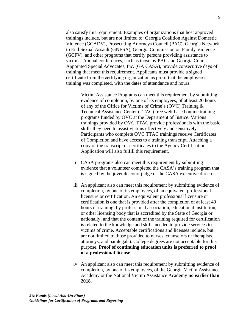also satisfy this requirement. Examples of organizations that host approved trainings include, but are not limited to: Georgia Coalition Against Domestic Violence (GCADV), Prosecuting Attorneys Council (PAC), Georgia Network to End Sexual Assault (GNESA), Georgia Commission on Family Violence (GCFV), and other programs that certify persons providing assistance to victims. Annual conferences, such as those by PAC and Georgia Court Appointed Special Advocates, Inc. (GA CASA), provide consecutive days of training that meet this requirement. Applicants must provide a signed certificate from the certifying organization as proof that the employee's training was completed, with the dates of attendance and hours.

- i Victim Assistance Programs can meet this requirement by submitting evidence of completion, by one of its employees, of at least 20 hours of any of the Office for Victims of Crime's (OVC) Training & Technical Assistance Center (TTAC) free web-based online training programs funded by OVC at the Department of Justice. Various trainings provided by OVC TTAC provide professionals with the basic skills they need to assist victims effectively and sensitively. Participants who complete OVC TTAC trainings receive Certificates of Completion and have access to a training transcript. Attaching a copy of the transcript or certificates to the Agency Certification Application will also fulfill this requirement.
- ii CASA programs also can meet this requirement by submitting evidence that a volunteer completed the CASA's training program that is signed by the juvenile court judge or the CASA executive director.
- iii An applicant also can meet this requirement by submitting evidence of completion, by one of its employees, of an equivalent professional licensure or certification. An equivalent professional licensure or certification is one that is provided after the completion of at least 40 hours of training; by professional association, educational institution, or other licensing body that is accredited by the State of Georgia or nationally; and that the content of the training required for certification is related to the knowledge and skills needed to provide services to victims of crime. Acceptable certifications and licenses include, but are not limited to those provided to nurses, counselors or therapists, attorneys, and paralegals). College degrees are not acceptable for this purpose. **Proof of continuing education units is preferred to proof of a professional license**.
- iv An applicant also can meet this requirement by submitting evidence of completion, by one of its employees, of the Georgia Victim Assistance Academy or the National Victim Assistance Academy **no earlier than 2018**.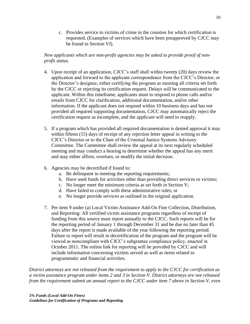c. Provides service to victims of crime in the counties for which certification is requested. (Examples of services which have been preapproved by CJCC may be found in Section VI).

## *New applicants which are non-profit agencies may be asked to provide proof of nonprofit status.*

- 4. Upon receipt of an application, CJCC's staff shall within twenty (20) days review the application and forward to the applicant correspondence from the CJCC's Director, or the Director's designee, either certifying the program as meeting all criteria set forth by the CJCC or rejecting its certification request. Delays will be communicated to the applicant. Within this timeframe, applicants must to respond to phone calls and/or emails from CJCC for clarification, additional documentation, and/or other information. If the applicant does not respond within 10 business days and has not provided all required supporting documentation, CJCC may automatically reject the certification request as incomplete, and the applicant will need to reapply.
- 5. If a program which has provided all required documentation is denied approval it may within fifteen (15) days of receipt of any rejection letter appeal in writing to the CJCC's Director or to the Chair of the Criminal Justice Systems Advisory Committee. The Committee shall review the appeal at its next regularly scheduled meeting and may conduct a hearing to determine whether the appeal has any merit and may either affirm, overturn, or modify the initial decision.
- 6. Agencies may be decertified if found to:
	- a. Be delinquent in meeting the reporting requirements;
	- b. Have used funds for activities other than providing direct services to victims;
	- c. No longer meet the minimum criteria as set forth in Section V;
	- d. Have failed to comply with these administrative rules; or
	- e. No longer provide services as outlined in the original application.
- 7. Per item 9 under (a) Local Victim Assistance Add-On Fine Collection, Distribution, and Reporting: All certified victim assistance programs regardless of receipt of funding from this source must report annually to the CJCC. Such reports will be for the reporting period of January 1 through December 31 and be due no later than 45 days after the report is made available of the year following the reporting period. Failure to report will result in decertification of the program and the program will be viewed as noncompliant with CJCC's subgrantee compliance policy, enacted in October 2011. The online link for reporting will be provided by CJCC and will include information concerning victims served as well as items related to programmatic and financial activities.

*District attorneys are not released from the requirement to apply to the CJCC for certification as a victim assistance program under items 2 and 3 in Section V. District attorneys are not released from the requirement submit an annual report to the CJCC under item 7 above in Section V, even*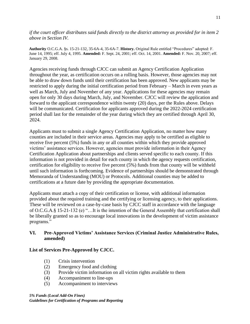*if the court officer distributes said funds directly to the district attorney as provided for in item 2 above in Section IV.* 

**Authority** O.C.G.A. §s. 15-21-132, 35-6A-4, 35-6A-7. **History.** Original Rule entitled "Procedures" adopted: F. June 14, 1995; eff. July 4, 1995. **Amended:** F. Sept. 24, 2001; eff. Oct. 14, 2001. **Amended:** F. Nov. 20, 2007; eff. January 29, 2008.

Agencies receiving funds through CJCC can submit an Agency Certification Application throughout the year, as certification occurs on a rolling basis. However, those agencies may not be able to draw down funds until their certification has been approved. New applicants may be restricted to apply during the initial certification period from February – March in even years as well as March, July and November of any year. Applications for these agencies may remain open for only 30 days during March, July, and November. CJCC will review the application and forward to the applicant correspondence within twenty (20) days, per the Rules above. Delays will be communicated. Certification for applicants approved during the 2022-2024 certification period shall last for the remainder of the year during which they are certified through April 30, 2024.

Applicants must to submit a single Agency Certification Application, no matter how many counties are included in their service areas. Agencies may apply to be certified as eligible to receive five percent (5%) funds in any or all counties within which they provide approved victims' assistance services. However, agencies must provide information in their Agency Certification Application about partnerships and clients served specific to each county. If this information is not provided in detail for each county in which the agency requests certification, certification for eligibility to receive five percent (5%) funds from that county will be withheld until such information is forthcoming. Evidence of partnerships should be demonstrated through Memoranda of Understanding (MOU) or Protocols. Additional counties may be added to certifications at a future date by providing the appropriate documentation.

Applicants must attach a copy of their certification or license, with additional information provided about the required training and the certifying or licensing agency, to their applications. These will be reviewed on a case-by-case basis by CJCC staff in accordance with the language of O.C.G.A.§ 15-21-132 (e) "…It is the intention of the General Assembly that certification shall be liberally granted so as to encourage local innovations in the development of victim assistance programs."

## **VI. Pre-Approved Victims' Assistance Services (Criminal Justice Administrative Rules, amended)**

## **List of Services Pre-Approved by CJCC.**

- (1) Crisis intervention
- (2) Emergency food and clothing
- (3) Provide victim information on all victim rights available to them
- (4) Accompaniment to line-ups
- (5) Accompaniment to interviews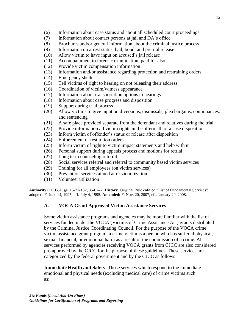- (6) Information about case status and about all scheduled court proceedings
- (7) Information about contact persons at jail and DA's office
- (8) Brochures and/or general information about the criminal justice process
- (9) Information on arrest status, bail, bond, and pretrial release
- (10) Allow victim to have input on accused's jail release
- (11) Accompaniment to forensic examination, paid for also
- (12) Provide victim compensation information
- (13) Information and/or assistance regarding protection and restraining orders
- (14) Emergency shelter
- (15) Tell victims of right to hearing on not releasing their address
- (16) Coordination of victim/witness appearance
- (17) Information about transportation options to hearings
- (18) Information about case progress and disposition
- (19) Support during trial process
- (20) Allow victims to give input on diversions, dismissals, plea bargains, continuances, and sentencing
- (21) A safe place provided separate from the defendant and relatives during the trial
- (22) Provide information all victim rights in the aftermath of a case disposition
- (23) Inform victim of offender's status or release after disposition
- (24) Enforcement of restitution orders
- (25) Inform victim of right to victim impact statements and help with it
- (26) Personal support during appeals process and motions for retrial
- (27) Long term counseling referral
- (28) Social services referral and referral to community based victim services
- (29) Training for all employees (on victim services)
- (30) Prevention services aimed at re-victimization
- (31) Volunteer utilization

**Authority** O.C.G.A. §s. 15-21-132, 35-6A-7. **History.** Original Rule entitled "List of Fundamental Services" adopted: F. June 14, 1995; eff. July 4, 1995. **Amended:** F. Nov. 20, 2007; eff. January 29, 2008.

# **A. VOCA Grant Approved Victim Assistance Services**

Some victim assistance programs and agencies may be more familiar with the list of services funded under the VOCA (Victims of Crime Assistance Act) grants distributed by the Criminal Justice Coordinating Council. For the purpose of the VOCA crime victim assistance grant program, a crime victim is a person who has suffered physical, sexual, financial, or emotional harm as a result of the commission of a crime. All services performed by agencies receiving VOCA grants from CJCC are also considered pre-approved by the CJCC for the purpose of these guidelines. These services are categorized by the federal government and by the CJCC as follows:

**Immediate Health and Safety.** Those services which respond to the immediate emotional and physical needs (excluding medical care) of crime victims such as: